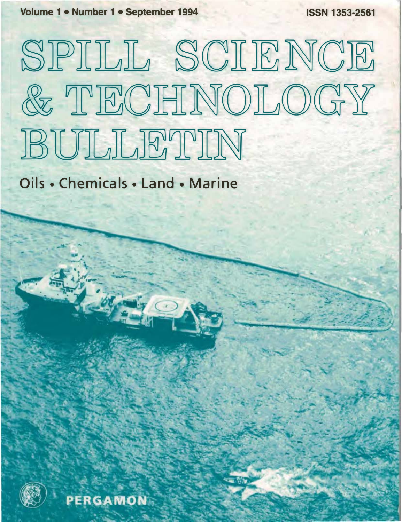**Volume 1 • Number 1 • September 1994 ISSN 1353-2561** 

# SPILL SCIENCE & TECHNOLOGY JE UJLJLJETKN

**Oils• Chemicals• Land • Marine** 



**PERGAMON**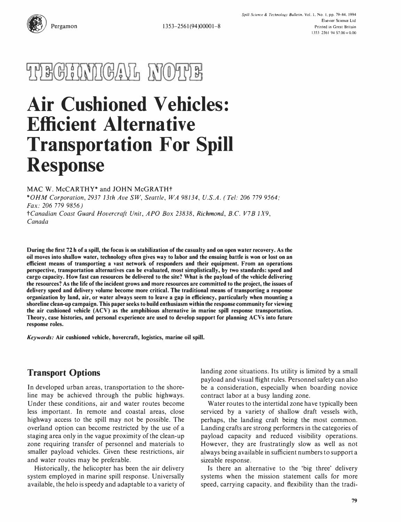

## TIEGHNIGAL NOTE

## **Air Cushioned Vehicles: Efficient Alternative Transportation For Spill Response**

MAC W. McCARTHY\* and JOHN McGRATHt

*\*OHM Corporation, 2937 13th Ave SW, Seattle, WA 98134, U.S.A. (Tel: 206 779 9564; Fax: 206 779 9856) tCanadian Coast Guard Hovercraft Unit, APO Box 23838, Richmond, B.C. V7 B I X9,*

*Canada*

**During the first 72 h of a spill, the focus is on stabilization of the casualty and on open water recovery. As the oil moves into shallow water, technology often gives way to labor and the ensuing battle is won or lost on an efficient means of transporting a vast network of responders and their equipment. From an operations perspective, transportation alternatives can be evaluated, most simplistically, by two standards: speed and cargo capacity. How fast can resources be delivered to the site? What is the payload of the vehicle delivering the resources? As the life of the incident grows and more resources are committed to the project, the issues of delivery speed and delivery volume become more critical. The traditional means of transporting a response organization by land, air, or water always seem to leave a gap in efficiency, particularly when mounting a shoreline clean-up campaign. This paper seeks to build enthusiasm within the response community for viewing the air cushioned vehicle (ACV) as the amphibious alternative in marine spill response transportation. Theory, case histories, and personal experience are used to develop support for planning ACVs into future response roles.** 

*Keywords:* **Air cushioned vehicle, hovercraft, logistics, marine oil spill.** 

#### **Transport Options**

In developed urban areas, transportation to the shoreline may be achieved through the public highways. Under these conditions, air and water routes become less important. In remote and coastal areas, close highway access to the spill may not be possible. The overland option can become restricted by the use of a staging area only in the vague proximity of the clean-up zone requiring transfer of personnel and materials to smaller payload vehicles. Given these restrictions, air and water routes may be preferable.

Historically, the helicopter has been the air delivery system employed in marine spill response. Universally available, the helo is speedy and adaptable to a variety of landing zone situations. Its utility is limited by a small payload and visual flight rules. Personnel safety can also be a consideration, especially when boarding novice contract labor at a busy landing zone.

Water routes to the intertidal zone have typically been serviced by a variety of shallow draft vessels with, perhaps, the landing craft being the most common. Landing crafts are strong performers in the categories of payload capacity and reduced visibility operations. However, they are frustratingly slow as well as not always being available in sufficient numbers to support a sizeable response.

Is there an alternative to the 'big three' delivery systems when the mission statement calls for more speed, carrying capacity, and flexibility than the tradi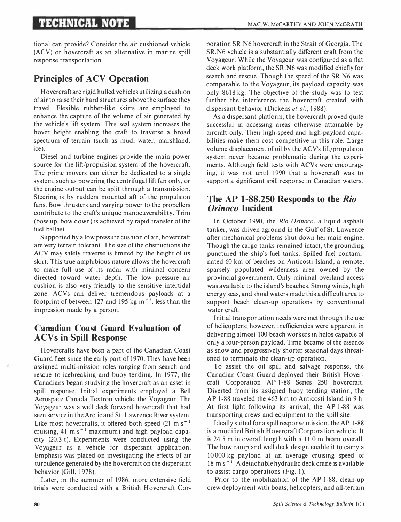tional can provide? Consider the air cushioned vehicle (ACV) or hovercraft as an alternative in marine spill response transportation.

#### **Principles of ACV Operation**

Hovercraft are rigid hulled vehicles utilizing a cushion of air to raise their hard structures above the surface they travel. Flexible rubber-like skirts are employed to enhance the capture of the volume of air generated by the vehicle's lift system. This seal system increases the hover height enabling the craft to traverse a broad spectrum of terrain (such as mud, water, marshland, ice).

Diesel and turbine engines provide the main power source for the lift/propulsion system of the hovercraft. The prime movers can either be dedicated to a single system, such as powering the centrifugal lift fan only, or the engine output can be split through a transmission. Steering is by rudders mounted aft of the propulsion fans. Bow thrusters and varying power to the propellers contribute to the craft's unique manoeuverability. Trim (bow up, bow down) is achieved by rapid transfer of the fuel ballast.

Supported by a low pressure cushion of air, hovercraft are very terrain tolerant. The size of the obstructions the ACV may safely traverse is limited by the height of its skirt. This true amphibious nature allows the hovercraft to make full use of its radar with minimal concern directed toward water depth. The low pressure air cushion is also very friendly to the sensitive intertidal zone. ACVs can deliver tremendous payloads at a footprint of between 127 and 195 kg  $m^{-2}$ , less than the impression made by a person.

#### **Canadian Coast Guard Evaluation of A CV s in Spill Response**

Hovercrafts have been a part of the Canadian Coast Guard fleet since the early part of 1970. They have been assigned multi-mission roles ranging from search and rescue to icebreaking and buoy tending. In 1977, the Canadians began studying the hovercraft as an asset in spill response. Initial experiments employed a Bell Aerospace Canada Textron vehicle, the Voyageur. The Voyageur was a well deck forward hovercraft that had seen service in the Arctic and St. Lawrence River system. Like most hovercrafts, it offered both speed  $(21 \text{ m s}^{-1})$ cruising, 41 m  $s^{-1}$  maximum) and high payload capacity (20.3 t). Experiments were conducted using the Voyageur as a vehicle for dispersant application. Emphasis was placed on investigating the effects of air turbulence generated by the hovercraft on the dispersant behavior (Gill, 1978).

Later, in the summer of 1986, more extensive field trials were conducted with a British Hovercraft Corporation SR.N6 hovercraft in the Strait of Georgia. The SR.N6 vehicle is a substantially different craft from the Voyageur. While the Voyageur was configured as a flat deck work platform, the SR.N6 was modified chiefly for search and rescue. Though the speed of the SR.N6 was comparable to the Voyageur, its payload capacity was only 8618 kg. The objective of the study was to test further the interference the hovercraft created with dispersant behavior (Dickens *et al.,* 1988).

As a dispersant platform, the hovercraft proved quite successful in accessing areas otherwise attainable by aircraft only. Their high-speed and high-payload capabilities make them cost competitive in this role. Large volume displacement of oil by the ACV's lift/propulsion system never became problematic during the experiments. Although field tests with ACVs were encouraging, it was not until 1990 that a hovercraft was to support a significant spill response in Canadian waters.

#### **The AP 1-88.250 Responds to the** *Rio Orinoco* **Incident**

In October 1990, the *Rio Orinoco,* a liquid asphalt tanker, was driven aground in the Gulf of St. Lawrence after mechanical problems shut down her main engine. Though the cargo tanks remained intact, the grounding punctured the ship's fuel tanks. Spilled fuel contaminated 60 km of beaches on Anticosti Island, a remote, sparsely populated wilderness area owned by the provincial government. Only minimal overland access was available to the island's beaches. Strong winds, high energy seas, and shoal waters made this a difficult area to support beach clean-up operations by conventional water craft.

Initial transportation needs were met through the use of helicopters; however, inefficiencies were apparent in delivering almost 100 beach workers in helos capable of only a four-person payload. Time became of the essence as snow and progressively shorter seasonal days threatened to terminate the clean-up operation.

To assist the oil spill and salvage response, the Canadian Coast Guard deployed their British Hovercraft Corporation AP 1-88 Series 250 hovercraft. Diverted from its assigned buoy tending station, the AP 1-88 traveled the 463 km to Anticosti Island in 9 h. At first light following its arrival, the AP 1-88 was transporting crews and equipment to the spill site.

Ideally suited for a spill response mission, the AP 1-88 is a modified British Hovercraft Corporation vehicle. It is 24.5 m in overall length with a 11.0 m beam overall. The bow ramp and well deck design enable it to carry a 10 000 kg payload at an average cruising speed of  $18 \text{ m s}^{-1}$ . A detachable hydraulic deck crane is available to assist cargo operations (Fig. 1 ).

Prior to the mobilization of the AP 1-88, clean-up crew deployment with boats, helicopters, and all-terrain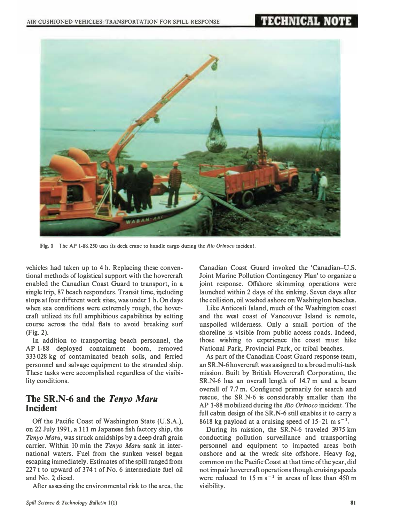

**Fig. 1 The AP 1-88.250 uses its deck crane to handle cargo during the** *Rio Orinoco* **incident.** 

**vehicles had taken up to 4 h. Replacing these conventional methods of logistical support with the hovercraft enabled the Canadian Coast Guard to transport, in a single trip, 87 beach responders. Transit time, iqcluding stops at four different work sites, was under 1 h. On days when sea conditions were extremely rough, the hovercraft utilized its full amphibious capabilities by setting course across the tidal flats to avoid breaking surf (Fig. 2).** 

**In addition to transporting beach personnel, the AP 1-88 deployed containment boom, removed 333 028 kg of contaminated beach soils, and ferried personnel and salvage equipment to the stranded ship. These tasks were accomplished regardless of the visibility conditions.** 

#### **The SR.N-6 and the** *Tenyo Maru*  **Incident**

**Off the Pacific Coast of Washington State (U.S.A.), on 22 July 1991, a 111 m Japanese fish factory ship, the**  *Tenyo Maru,* **was struck amidships by a deep draft grain carrier. Within 10 min the** *Tenyo Maru* **sank in international waters. Fuel from the sunken vessel began escaping immediately. Estimates of the spill ranged from 227 t to upward of 374 t of No. 6 intermediate fuel oil and No. 2 diesel.** 

**After assessing the environmental risk to the area, the** 

**Canadian Coast Guard invoked the 'Canadian-U .S. Joint Marine Pollution Contingency Plan' to organize a joint response. Offshore skimming operations were launched within 2 days of the sinking. Seven days after the collision, oil washed ashore on Washington beaches.** 

**Like Anticosti Island, much of the Washington coast and the west coast of Vancouver Island is remote, unspoiled wilderness. Only a small portion of the shoreline is visible from public access roads. Indeed, those wishing to experience the coast must hike National Park, Provincial Park, or tribal beaches.** 

**As part of the Canadian Coast Guard response team, an SR.N-6 hovercraft was assigned to a broad multi-task mission. Built by British Hovercraft Corporation, the SR.N-6 has an overall length of 14.7 m and a beam overall of 7.7 m. Configured primarily for search and rescue, the SR.N-6 is considerably smaller than the AP 1-88 mobilized during the** *Rio Orinoco* **incident. The full cabin design of the SR.N-6 still enables it to carry a**  8618 kg payload at a cruising speed of  $15-21$  m s<sup>-1</sup>.

**During its mission, the SR.N-6 traveled 3975 km conducting pollution surveillance and transporting personnel and equipment to impacted areas both onshore and at the wreck site offshore. Heavy fog, common on the Pacific Coast at that time of the year, did not impair hovercraft operations though cruising speeds**  were reduced to  $15 \text{ m s}^{-1}$  in areas of less than 450 m **visibility.**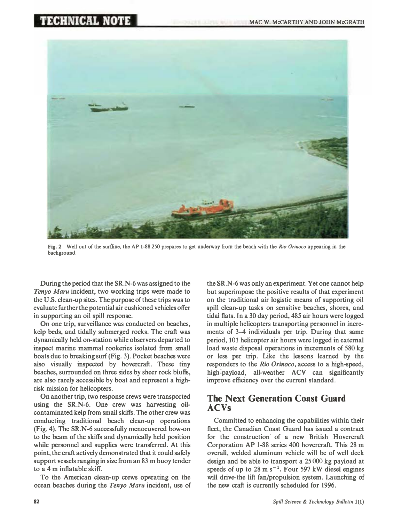

**Fig. 2 Well out of the sur:lline, the AP 1-88.250 prepares to get underway from the beach with the** *Rio Orinoco* **appearing in the background.** 

**During the period that the SR.N-6 was assigned to the**  *Tenyo Maru* **incident, two working trips were made to the U.S. clean-up sites. The purpose of these trips was to evaluate further the potential air cushioned vehicles offer in supporting an oil spill response.** 

**On one trip, surveillance was conducted on beaches, kelp beds, and tidally submerged rocks. The craft was dynamically held on-station while observers departed to inspect marine mammal rookeries isolated from small boats due to breaking surf (Fig. 3). Pocket beaches were also visually inspected by hovercraft. These tiny beaches, surrounded on three sides by sheer rock bluffs, are also rarely accessible by boat and represent a highrisk mission for helicopters.** 

**On another trip, two response crews were transported using the SR.N-6. One crew was harvesting oilcontaminated kelp from small skiffs. The other crew was conducting traditional beach clean-up operations (Fig. 4). The SR.N-6 successfully menoeuvered bow-on to the beam of the skiffs and dynamically held position while personnel and supplies were transferred. At this point, the craft actively demonstrated that it could safely support vessels ranging in size from an 83 m buoy tender to a 4 m inflatable skiff.** 

**To the American clean-up crews operating on the ocean beaches during the** *Tenyo Maru* **incident, use of**  **the SR.N-6 was only an experiment. Yet one cannot help but superimpose the positive results of that experiment on the traditional air logistic means of supporting oil spill clean-up tasks on sensitive beaches, shores, and tidal flats. In a 30 day period, 485 air hours were logged in multiple helicopters transporting personnel in increments of 3-4 individuals per trip. During that same period, 101 helicopter air hours were logged in external load waste disposal operations in increments of 580 kg or less per trip. Like the lessons learned by the responders to the** *Rio Orinoco,* **access to a high-speed,**  high-payload, all-weather ACV can significantly **improve efficiency over the current standard.** 

#### **The Next Generation Coast Guard ACVs**

**Committed to enhancing the capabilities within their fleet, the Canadian Coast Guard has issued a contract for the construction· of a new British Hovercraft Corporation AP 1-88 series 400 hovercraft. This 28 m overall, welded aluminum vehicle will be of well deck design and be able to transport a 25 000 kg payload at speeds of up to 28 m s- <sup>1</sup> • Four 597 kW diesel engines will drive-the lift fan/propulsion system. Launching of the new craft is currently scheduled for 1996.**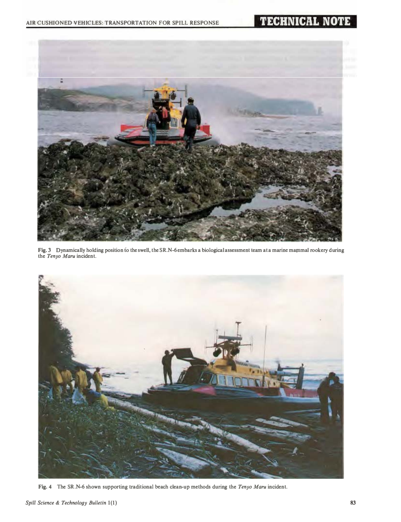

**Fig. 3 Dynamically holding position fo the swell, the SR.N-6 embarks a biological assessment team at a marine mammal rookery during the** *Tenyo Maru* **incident.** 



**Fig. 4 The SR.N-6 shown supporting traditional beach clean-up methods during the** *Tenyo Maru* **incident.**